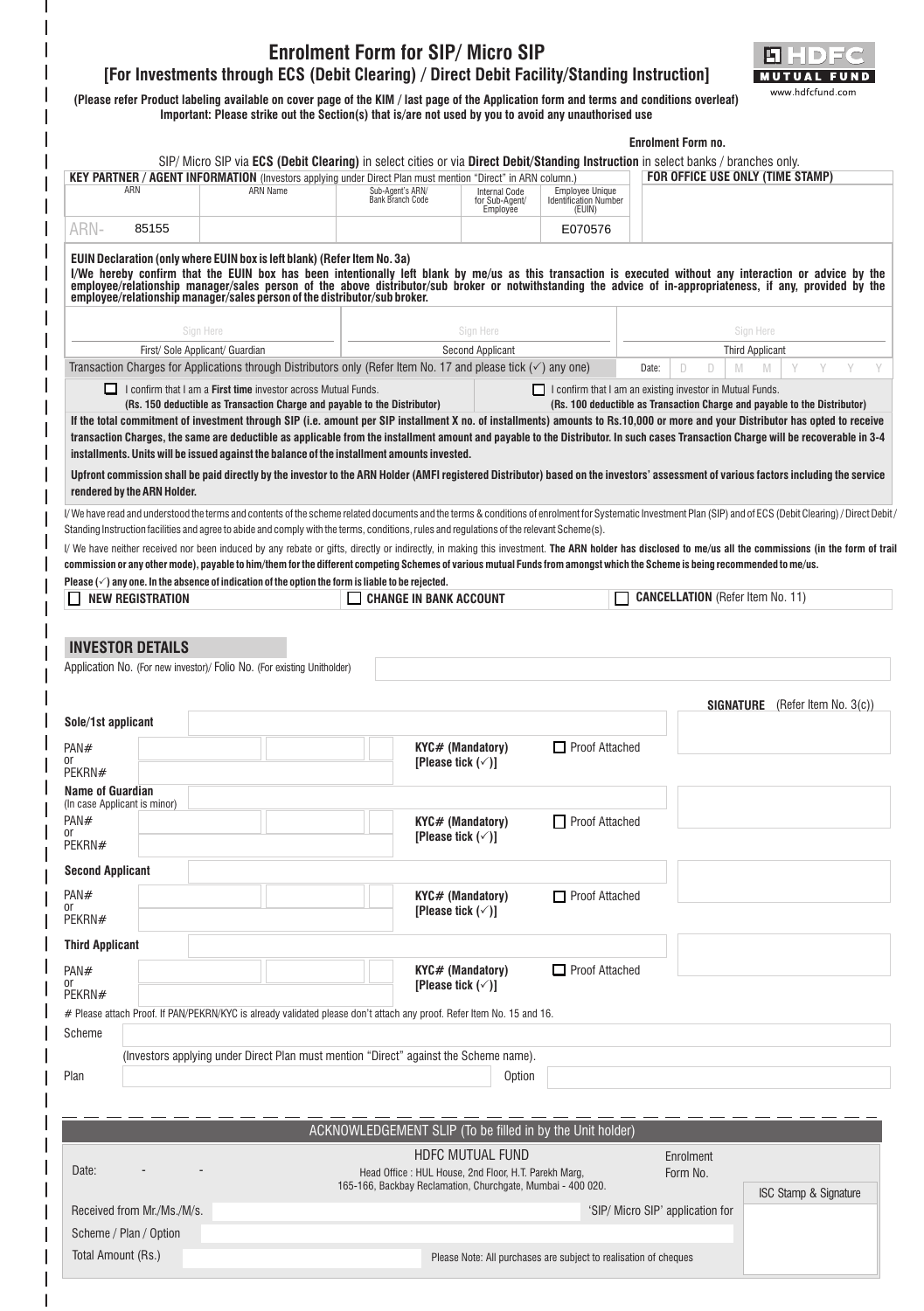## **Enrolment Form for SIP/ Micro SIP** n) **[For Investments through ECS (Debit Clearing) / Direct Debit Facility/Standing Instruction]** UTUAL EUN www.hdfcfund.com **(Please refer Product labeling available on cover page of the KIM / last page of the Application form and terms and conditions overleaf) Important: Please strike out the Section(s) that is/are not used by you to avoid any unauthorised use Enrolment Form no.** SIP/ Micro SIP via **ECS (Debit Clearing)** in select cities or via **Direct Debit/Standing Instruction** in select banks / branches only. **KEY PARTNER / AGENT INFORMATION** (Investors applying under Direct Plan must mention "Direct" in ARN column.) **FOR OFFICE USE ONLY (TIME STAMP)** ARN ARN Name Sub-Agent's ARN/ Bank Branch Code Internal Code for Sub-Agent/ Employee Employee Unique Identification Number (EUIN) ARN-85155 E070576 **EUIN Declaration (only where EUIN box is left blank) (Refer Item No. 3a) I/We hereby confirm that the EUIN box has been intentionally left blank by me/us as this transaction is executed without any interaction or advice by the**  employee/relationship manager/sales person of the above distributor/sub broker or notwithstanding the advice of in-appropriateness, if any, provided by the<br>employee/relationshipmanager/salespersonofthedistributor/subbroker Sign Here Sign Here Sign Here Sign Here Sign Here Sign Here Sign Here Sign Here Sign Here Sign Here Sign Here Sign Here Sign Here Sign Here Sign Here Sign Here Sign Here Sign Here Sign Here Sign Here Sign Here Sign Here Si First/ Sole Applicant/ Guardian and Third Applicant Second Applicant Second Applicant Third Applicant Third Applicant Transaction Charges for Applications through Distributors only (Refer Item No. 17 and please tick  $(\checkmark)$  any one) Date:  $\Box$ M M Y Y Y Y I confirm that I am a **First time** investor across Mutual Funds. I confirm that I am an existing investor in Mutual Funds. **(Rs. 150 deductible as Transaction Charge and payable to the Distributor) (Rs. 100 deductible as Transaction Charge and payable to the Distributor)** If the total commitment of investment through SIP (i.e. amount per SIP installment X no. of installments) amounts to Rs.10,000 or more and your Distributor has opted to receive **transaction Charges, the same are deductible as applicable from the installment amount and payable to the Distributor. In such cases Transaction Charge will be recoverable in 3-4 installments. Units will be issued against the balance of the installment amounts invested. Upfront commission shall be paid directly by the investor to the ARN Holder (AMFI registered Distributor) based on the investors' assessment of various factors including the service rendered by the ARN Holder.** I/ We have read and understood the terms and contents of the scheme related documents and the terms & conditions of enrolment for Systematic Investment Plan (SIP) and of ECS (Debit Clearing) / Direct Debit / Standing Instruction facilities and agree to abide and comply with the terms, conditions, rules and regulations of the relevant Scheme(s). I/ We have neither received nor been induced by any rebate or gifts, directly or indirectly, in making this investment. **The ARN holder has disclosed to me/us all the commissions (in the form of trail commission or any other mode), payable to him/them for the different competing Schemes of various mutual Funds from amongst which the Scheme is being recommended to me/us. Please**  $(\check{\phantom{e}})$  **any one. In the absence of indication of the option the form is liable to be rejected. NEW REGISTRATION CHANGE IN BANK ACCOUNT CANCELLATION** (Refer Item No. 11) **INVESTOR DETAILS** Application No. (For new investor)/ Folio No. (For existing Unitholder) **SIGNATURE** (Refer Item No. 3(c)) **Sole/1st applicant** PAN# **KYC# (Mandatory)** Proof Attached or **[Please tick**  $(\check{\phantom{e}})$ **]** PEKRN# **Name of Guardian** (In case Applicant is minor) PAN# **KYC# (Mandatory)** □ Proof Attached or **[Please tick**  $(\check{\phantom{e}})$ **]** PEKRN# **Second Applicant** PAN# **KYC# (Mandatory)** Proof Attached or **[Please tick (**P**)]** PEKRN# **Third Applicant KYC# (Mandatory)** Proof Attached PAN# or **[Please tick**  $(\check{\phantom{e}})$ **]** PEKRN# # Please attach Proof. If PAN/PEKRN/KYC is already validated please don't attach any proof. Refer Item No. 15 and 16. Scheme (Investors applying under Direct Plan must mention "Direct" against the Scheme name). Plan Option ACKNOWLEDGEMENT SLIP (To be filled in by the Unit holder) HDFC MUTUAL FUND Enrolment - -Date: The Communication of the House of House, 2nd Floor, H.T. Parekh Marg, Form No. 6 Form No. 165-166, Backbay Reclamation, Churchgate, Mumbai - 400 020. ISC Stamp & Signature Received from Mr./Ms./M/s. **No. 2008** 2009 12:00:00 12:00 12:00 12:00 12:00 13:00 13:00 13:00 13:00 13:00 13:00 13:00 13:00 13:00 13:00 13:00 13:00 13:00 13:00 13:00 13:00 13:00 13:00 13:00 13:00 13:00 13:00 13:00 13:00 13 Scheme / Plan / Option Total Amount (Rs.) Please Note: All purchases are subject to realisation of cheques